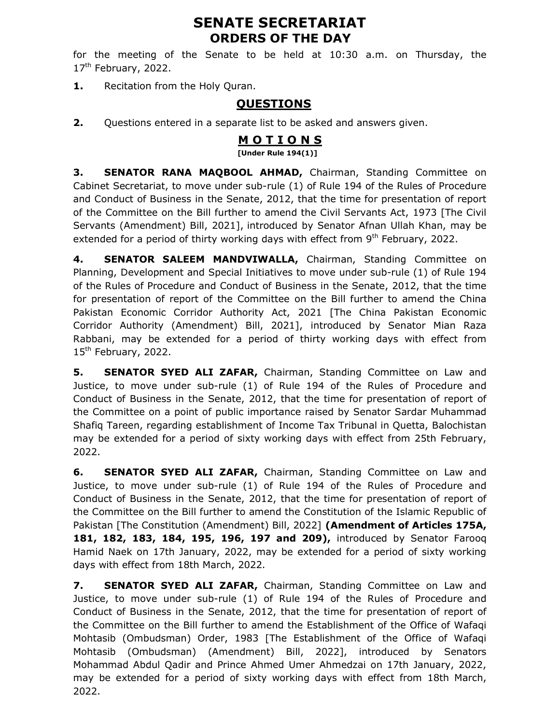# SENATE SECRETARIAT ORDERS OF THE DAY

for the meeting of the Senate to be held at 10:30 a.m. on Thursday, the  $17<sup>th</sup>$  February, 2022.

1. Recitation from the Holy Quran.

## **OUESTIONS**

**2.** Questions entered in a separate list to be asked and answers given.

### M O T I O N S

[Under Rule 194(1)]

3. SENATOR RANA MAQBOOL AHMAD, Chairman, Standing Committee on Cabinet Secretariat, to move under sub-rule (1) of Rule 194 of the Rules of Procedure and Conduct of Business in the Senate, 2012, that the time for presentation of report of the Committee on the Bill further to amend the Civil Servants Act, 1973 [The Civil Servants (Amendment) Bill, 2021], introduced by Senator Afnan Ullah Khan, may be extended for a period of thirty working days with effect from  $9<sup>th</sup>$  February, 2022.

4. SENATOR SALEEM MANDVIWALLA, Chairman, Standing Committee on Planning, Development and Special Initiatives to move under sub-rule (1) of Rule 194 of the Rules of Procedure and Conduct of Business in the Senate, 2012, that the time for presentation of report of the Committee on the Bill further to amend the China Pakistan Economic Corridor Authority Act, 2021 [The China Pakistan Economic Corridor Authority (Amendment) Bill, 2021], introduced by Senator Mian Raza Rabbani, may be extended for a period of thirty working days with effect from 15<sup>th</sup> February, 2022.

5. SENATOR SYED ALI ZAFAR, Chairman, Standing Committee on Law and Justice, to move under sub-rule (1) of Rule 194 of the Rules of Procedure and Conduct of Business in the Senate, 2012, that the time for presentation of report of the Committee on a point of public importance raised by Senator Sardar Muhammad Shafiq Tareen, regarding establishment of Income Tax Tribunal in Quetta, Balochistan may be extended for a period of sixty working days with effect from 25th February, 2022.

6. SENATOR SYED ALI ZAFAR, Chairman, Standing Committee on Law and Justice, to move under sub-rule (1) of Rule 194 of the Rules of Procedure and Conduct of Business in the Senate, 2012, that the time for presentation of report of the Committee on the Bill further to amend the Constitution of the Islamic Republic of Pakistan [The Constitution (Amendment) Bill, 2022] (Amendment of Articles 175A, 181, 182, 183, 184, 195, 196, 197 and 209), introduced by Senator Farooq Hamid Naek on 17th January, 2022, may be extended for a period of sixty working days with effect from 18th March, 2022.

7. SENATOR SYED ALI ZAFAR, Chairman, Standing Committee on Law and Justice, to move under sub-rule (1) of Rule 194 of the Rules of Procedure and Conduct of Business in the Senate, 2012, that the time for presentation of report of the Committee on the Bill further to amend the Establishment of the Office of Wafaqi Mohtasib (Ombudsman) Order, 1983 [The Establishment of the Office of Wafaqi Mohtasib (Ombudsman) (Amendment) Bill, 2022], introduced by Senators Mohammad Abdul Qadir and Prince Ahmed Umer Ahmedzai on 17th January, 2022, may be extended for a period of sixty working days with effect from 18th March, 2022.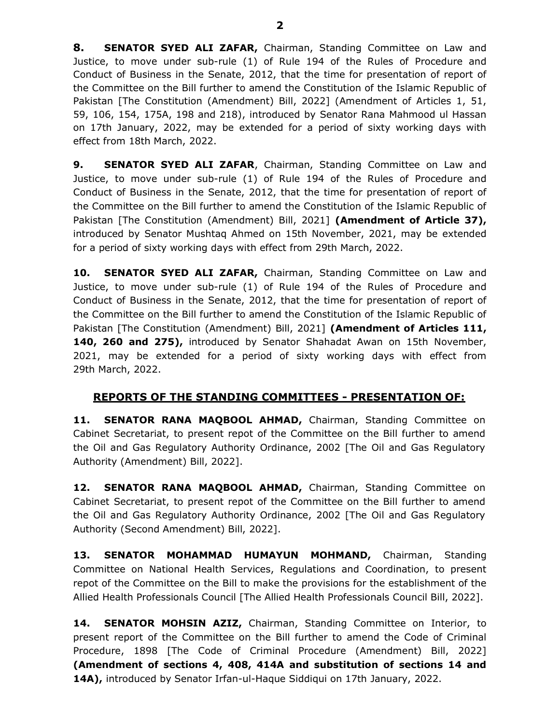8. SENATOR SYED ALI ZAFAR, Chairman, Standing Committee on Law and Justice, to move under sub-rule (1) of Rule 194 of the Rules of Procedure and Conduct of Business in the Senate, 2012, that the time for presentation of report of the Committee on the Bill further to amend the Constitution of the Islamic Republic of Pakistan [The Constitution (Amendment) Bill, 2022] (Amendment of Articles 1, 51, 59, 106, 154, 175A, 198 and 218), introduced by Senator Rana Mahmood ul Hassan on 17th January, 2022, may be extended for a period of sixty working days with effect from 18th March, 2022.

9. SENATOR SYED ALI ZAFAR, Chairman, Standing Committee on Law and Justice, to move under sub-rule (1) of Rule 194 of the Rules of Procedure and Conduct of Business in the Senate, 2012, that the time for presentation of report of the Committee on the Bill further to amend the Constitution of the Islamic Republic of Pakistan [The Constitution (Amendment) Bill, 2021] (Amendment of Article 37), introduced by Senator Mushtaq Ahmed on 15th November, 2021, may be extended for a period of sixty working days with effect from 29th March, 2022.

10. SENATOR SYED ALI ZAFAR, Chairman, Standing Committee on Law and Justice, to move under sub-rule (1) of Rule 194 of the Rules of Procedure and Conduct of Business in the Senate, 2012, that the time for presentation of report of the Committee on the Bill further to amend the Constitution of the Islamic Republic of Pakistan [The Constitution (Amendment) Bill, 2021] (Amendment of Articles 111, 140, 260 and 275), introduced by Senator Shahadat Awan on 15th November, 2021, may be extended for a period of sixty working days with effect from 29th March, 2022.

#### REPORTS OF THE STANDING COMMITTEES - PRESENTATION OF:

11. SENATOR RANA MAQBOOL AHMAD, Chairman, Standing Committee on Cabinet Secretariat, to present repot of the Committee on the Bill further to amend the Oil and Gas Regulatory Authority Ordinance, 2002 [The Oil and Gas Regulatory Authority (Amendment) Bill, 2022].

12. SENATOR RANA MAQBOOL AHMAD, Chairman, Standing Committee on Cabinet Secretariat, to present repot of the Committee on the Bill further to amend the Oil and Gas Regulatory Authority Ordinance, 2002 [The Oil and Gas Regulatory Authority (Second Amendment) Bill, 2022].

13. SENATOR MOHAMMAD HUMAYUN MOHMAND, Chairman, Standing Committee on National Health Services, Regulations and Coordination, to present repot of the Committee on the Bill to make the provisions for the establishment of the Allied Health Professionals Council [The Allied Health Professionals Council Bill, 2022].

14. SENATOR MOHSIN AZIZ, Chairman, Standing Committee on Interior, to present report of the Committee on the Bill further to amend the Code of Criminal Procedure, 1898 [The Code of Criminal Procedure (Amendment) Bill, 2022] (Amendment of sections 4, 408, 414A and substitution of sections 14 and 14A), introduced by Senator Irfan-ul-Haque Siddiqui on 17th January, 2022.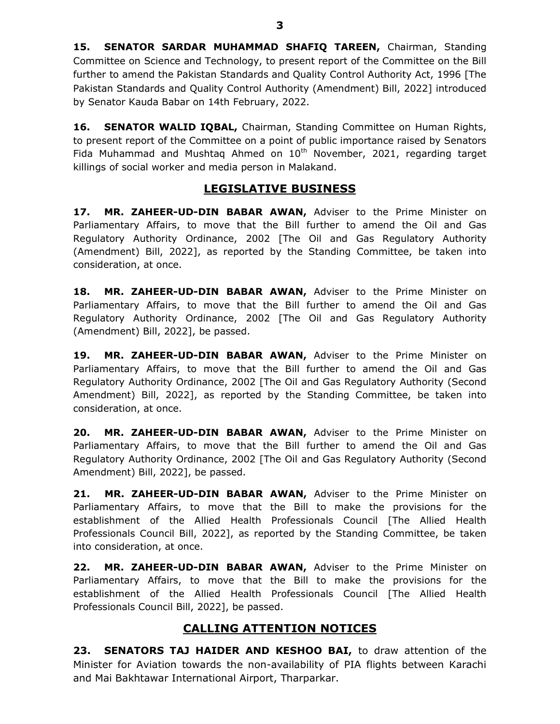15. SENATOR SARDAR MUHAMMAD SHAFIQ TAREEN, Chairman, Standing Committee on Science and Technology, to present report of the Committee on the Bill further to amend the Pakistan Standards and Quality Control Authority Act, 1996 [The Pakistan Standards and Quality Control Authority (Amendment) Bill, 2022] introduced by Senator Kauda Babar on 14th February, 2022.

16. SENATOR WALID IQBAL, Chairman, Standing Committee on Human Rights, to present report of the Committee on a point of public importance raised by Senators Fida Muhammad and Mushtaq Ahmed on  $10<sup>th</sup>$  November, 2021, regarding target killings of social worker and media person in Malakand.

#### LEGISLATIVE BUSINESS

17. MR. ZAHEER-UD-DIN BABAR AWAN, Adviser to the Prime Minister on Parliamentary Affairs, to move that the Bill further to amend the Oil and Gas Regulatory Authority Ordinance, 2002 [The Oil and Gas Regulatory Authority (Amendment) Bill, 2022], as reported by the Standing Committee, be taken into consideration, at once.

18. MR. ZAHEER-UD-DIN BABAR AWAN, Adviser to the Prime Minister on Parliamentary Affairs, to move that the Bill further to amend the Oil and Gas Regulatory Authority Ordinance, 2002 [The Oil and Gas Regulatory Authority (Amendment) Bill, 2022], be passed.

19. MR. ZAHEER-UD-DIN BABAR AWAN, Adviser to the Prime Minister on Parliamentary Affairs, to move that the Bill further to amend the Oil and Gas Regulatory Authority Ordinance, 2002 [The Oil and Gas Regulatory Authority (Second Amendment) Bill, 2022], as reported by the Standing Committee, be taken into consideration, at once.

20. MR. ZAHEER-UD-DIN BABAR AWAN, Adviser to the Prime Minister on Parliamentary Affairs, to move that the Bill further to amend the Oil and Gas Regulatory Authority Ordinance, 2002 [The Oil and Gas Regulatory Authority (Second Amendment) Bill, 2022], be passed.

21. MR. ZAHEER-UD-DIN BABAR AWAN, Adviser to the Prime Minister on Parliamentary Affairs, to move that the Bill to make the provisions for the establishment of the Allied Health Professionals Council [The Allied Health Professionals Council Bill, 2022], as reported by the Standing Committee, be taken into consideration, at once.

22. MR. ZAHEER-UD-DIN BABAR AWAN, Adviser to the Prime Minister on Parliamentary Affairs, to move that the Bill to make the provisions for the establishment of the Allied Health Professionals Council [The Allied Health Professionals Council Bill, 2022], be passed.

## CALLING ATTENTION NOTICES

23. SENATORS TAJ HAIDER AND KESHOO BAI, to draw attention of the Minister for Aviation towards the non-availability of PIA flights between Karachi and Mai Bakhtawar International Airport, Tharparkar.